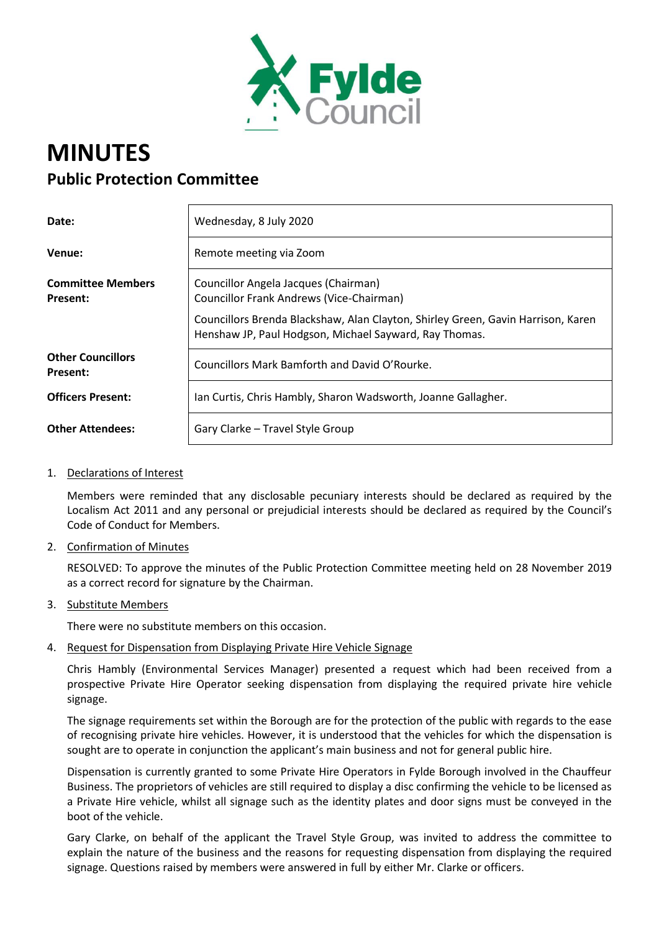

# **MINUTES Public Protection Committee**

| Date:                                | Wednesday, 8 July 2020                                                                                                                                                                                                         |
|--------------------------------------|--------------------------------------------------------------------------------------------------------------------------------------------------------------------------------------------------------------------------------|
| Venue:                               | Remote meeting via Zoom                                                                                                                                                                                                        |
| <b>Committee Members</b><br>Present: | Councillor Angela Jacques (Chairman)<br>Councillor Frank Andrews (Vice-Chairman)<br>Councillors Brenda Blackshaw, Alan Clayton, Shirley Green, Gavin Harrison, Karen<br>Henshaw JP, Paul Hodgson, Michael Sayward, Ray Thomas. |
| <b>Other Councillors</b><br>Present: | Councillors Mark Bamforth and David O'Rourke.                                                                                                                                                                                  |
| <b>Officers Present:</b>             | Ian Curtis, Chris Hambly, Sharon Wadsworth, Joanne Gallagher.                                                                                                                                                                  |
| <b>Other Attendees:</b>              | Gary Clarke - Travel Style Group                                                                                                                                                                                               |

### 1. Declarations of Interest

Members were reminded that any disclosable pecuniary interests should be declared as required by the Localism Act 2011 and any personal or prejudicial interests should be declared as required by the Council's Code of Conduct for Members.

2. Confirmation of Minutes

RESOLVED: To approve the minutes of the Public Protection Committee meeting held on 28 November 2019 as a correct record for signature by the Chairman.

3. Substitute Members

There were no substitute members on this occasion.

4. Request for Dispensation from Displaying Private Hire Vehicle Signage

Chris Hambly (Environmental Services Manager) presented a request which had been received from a prospective Private Hire Operator seeking dispensation from displaying the required private hire vehicle signage.

The signage requirements set within the Borough are for the protection of the public with regards to the ease of recognising private hire vehicles. However, it is understood that the vehicles for which the dispensation is sought are to operate in conjunction the applicant's main business and not for general public hire.

Dispensation is currently granted to some Private Hire Operators in Fylde Borough involved in the Chauffeur Business. The proprietors of vehicles are still required to display a disc confirming the vehicle to be licensed as a Private Hire vehicle, whilst all signage such as the identity plates and door signs must be conveyed in the boot of the vehicle.

Gary Clarke, on behalf of the applicant the Travel Style Group, was invited to address the committee to explain the nature of the business and the reasons for requesting dispensation from displaying the required signage. Questions raised by members were answered in full by either Mr. Clarke or officers.